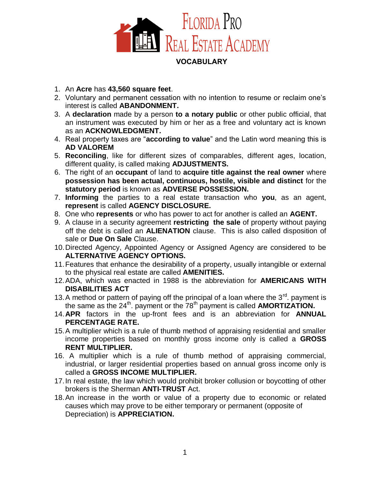

## **VOCABULARY**

- 1. An **Acre** has **43,560 square feet**.
- 2. Voluntary and permanent cessation with no intention to resume or reclaim one's interest is called **ABANDONMENT.**
- 3. A **declaration** made by a person **to a notary public** or other public official, that an instrument was executed by him or her as a free and voluntary act is known as an **ACKNOWLEDGMENT.**
- 4. Real property taxes are "**according to value**" and the Latin word meaning this is **AD VALOREM**
- 5. **Reconciling**, like for different sizes of comparables, different ages, location, different quality, is called making **ADJUSTMENTS.**
- 6. The right of an **occupant** of land to **acquire title against the real owner** where **possession has been actual, continuous, hostile, visible and distinct** for the **statutory period** is known as **ADVERSE POSSESSION.**
- 7. **Informing** the parties to a real estate transaction who **you**, as an agent, **represent** is called **AGENCY DISCLOSURE.**
- 8. One who **represents** or who has power to act for another is called an **AGENT.**
- 9. A clause in a security agreement **restricting the sale** of property without paying off the debt is called an **ALIENATION** clause. This is also called disposition of sale or **Due On Sale** Clause.
- 10. Directed Agency, Appointed Agency or Assigned Agency are considered to be **ALTERNATIVE AGENCY OPTIONS.**
- 11. Features that enhance the desirability of a property, usually intangible or external to the physical real estate are called **AMENITIES.**
- 12. ADA, which was enacted in 1988 is the abbreviation for **AMERICANS WITH DISABILITIES ACT**
- 13. A method or pattern of paying off the principal of a loan where the  $3<sup>rd</sup>$  payment is the same as the 24<sup>th</sup>. payment or the 78<sup>th</sup> payment is called **AMORTIZATION.**
- 14.**APR** factors in the up-front fees and is an abbreviation for **ANNUAL PERCENTAGE RATE.**
- 15. A multiplier which is a rule of thumb method of appraising residential and smaller income properties based on monthly gross income only is called a **GROSS RENT MULTIPLIER.**
- 16. A multiplier which is a rule of thumb method of appraising commercial, industrial, or larger residential properties based on annual gross income only is called a **GROSS INCOME MULTIPLIER.**
- 17. In real estate, the law which would prohibit broker collusion or boycotting of other brokers is the Sherman **ANTI-TRUST** Act.
- 18. An increase in the worth or value of a property due to economic or related causes which may prove to be either temporary or permanent (opposite of Depreciation) is **APPRECIATION.**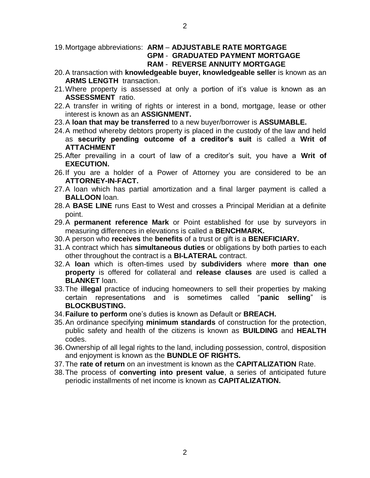- 19. Mortgage abbreviations: **ARM ADJUSTABLE RATE MORTGAGE GPM** - **GRADUATED PAYMENT MORTGAGE RAM** - **REVERSE ANNUITY MORTGAGE**
- 20. A transaction with **knowledgeable buyer, knowledgeable seller** is known as an **ARMS LENGTH** transaction.
- 21. Where property is assessed at only a portion of it's value is known as an **ASSESSMENT** ratio.
- 22. A transfer in writing of rights or interest in a bond, mortgage, lease or other interest is known as an **ASSIGNMENT.**
- 23.A **loan that may be transferred** to a new buyer/borrower is **ASSUMABLE.**
- 24. A method whereby debtors property is placed in the custody of the law and held as **security pending outcome of a creditor's suit** is called a **Writ of ATTACHMENT**
- 25.After prevailing in a court of law of a creditor's suit, you have a **Writ of EXECUTION.**
- 26. If you are a holder of a Power of Attorney you are considered to be an **ATTORNEY-IN-FACT.**
- 27. A loan which has partial amortization and a final larger payment is called a **BALLOON** loan.
- 28.A **BASE LINE** runs East to West and crosses a Principal Meridian at a definite point.
- 29.A **permanent reference Mark** or Point established for use by surveyors in measuring differences in elevations is called a **BENCHMARK.**
- 30. A person who **receives** the **benefits** of a trust or gift is a **BENEFICIARY.**
- 31. A contract which has **simultaneous duties** or obligations by both parties to each other throughout the contract is a **BI-LATERAL** contract.
- 32.A **loan** which is often-times used by **subdividers** where **more than one property** is offered for collateral and **release clauses** are used is called a **BLANKET** loan.
- 33. The **illegal** practice of inducing homeowners to sell their properties by making certain representations and is sometimes called "**panic selling**" is **BLOCKBUSTING.**
- 34.**Failure to perform** one's duties is known as Default or **BREACH.**
- 35. An ordinance specifying **minimum standards** of construction for the protection, public safety and health of the citizens is known as **BUILDING** and **HEALTH** codes.
- 36. Ownership of all legal rights to the land, including possession, control, disposition and enjoyment is known as the **BUNDLE OF RIGHTS.**
- 37. The **rate of return** on an investment is known as the **CAPITALIZATION** Rate.
- 38. The process of **converting into present value**, a series of anticipated future periodic installments of net income is known as **CAPITALIZATION.**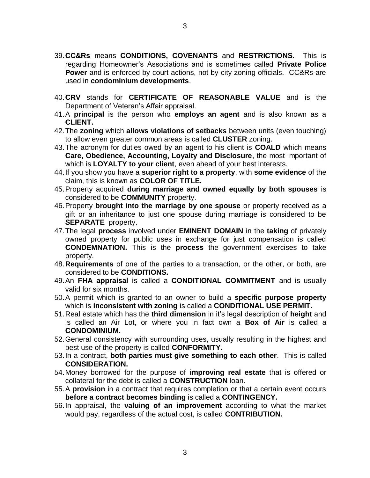- 39.**CC&Rs** means **CONDITIONS, COVENANTS** and **RESTRICTIONS.** This is regarding Homeowner's Associations and is sometimes called **Private Police Power** and is enforced by court actions, not by city zoning officials. CC&Rs are used in **condominium developments**.
- 40.**CRV** stands for **CERTIFICATE OF REASONABLE VALUE** and is the Department of Veteran's Affair appraisal.
- 41.A **principal** is the person who **employs an agent** and is also known as a **CLIENT.**
- 42. The **zoning** which **allows violations of setbacks** between units (even touching) to allow even greater common areas is called **CLUSTER** zoning.
- 43. The acronym for duties owed by an agent to his client is **COALD** which means **Care, Obedience, Accounting, Loyalty and Disclosure**, the most important of which is **LOYALTY to your client**, even ahead of your best interests.
- 44. If you show you have a **superior right to a property**, with **some evidence** of the claim, this is known as **COLOR OF TITLE.**
- 45. Property acquired **during marriage and owned equally by both spouses** is considered to be **COMMUNITY** property.
- 46. Property **brought into the marriage by one spouse** or property received as a gift or an inheritance to just one spouse during marriage is considered to be **SEPARATE** property.
- 47. The legal **process** involved under **EMINENT DOMAIN** in the **taking** of privately owned property for public uses in exchange for just compensation is called **CONDEMNATION.** This is the **process** the government exercises to take property.
- 48.**Requirements** of one of the parties to a transaction, or the other, or both, are considered to be **CONDITIONS.**
- 49. An **FHA appraisal** is called a **CONDITIONAL COMMITMENT** and is usually valid for six months.
- 50. A permit which is granted to an owner to build a **specific purpose property** which is **inconsistent with zoning** is called a **CONDITIONAL USE PERMIT.**
- 51. Real estate which has the **third dimension** in it's legal description of **height** and is called an Air Lot, or where you in fact own a **Box of Air** is called a **CONDOMINIUM.**
- 52. General consistency with surrounding uses, usually resulting in the highest and best use of the property is called **CONFORMITY.**
- 53. In a contract, **both parties must give something to each other**. This is called **CONSIDERATION.**
- 54. Money borrowed for the purpose of **improving real estate** that is offered or collateral for the debt is called a **CONSTRUCTION** loan.
- 55.A **provision** in a contract that requires completion or that a certain event occurs **before a contract becomes binding** is called a **CONTINGENCY.**
- 56. In appraisal, the **valuing of an improvement** according to what the market would pay, regardless of the actual cost, is called **CONTRIBUTION.**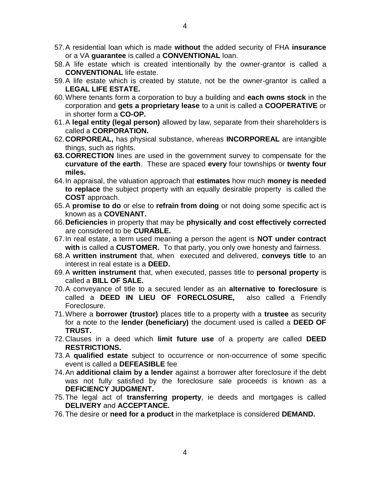- 57. A residential loan which is made **without** the added security of FHA **insurance** or a VA **guarantee** is called a **CONVENTIONAL** loan.
- 58. A life estate which is created intentionally by the owner-grantor is called a **CONVENTIONAL** life estate.
- 59. A life estate which is created by statute, not be the owner-grantor is called a **LEGAL LIFE ESTATE.**
- 60.Where tenants form a corporation to buy a building and **each owns stock** in the corporation and **gets a proprietary lease** to a unit is called a **COOPERATIVE** or in shorter form a **CO-OP.**
- 61.A **legal entity (legal person)** allowed by law, separate from their shareholders is called a **CORPORATION.**
- 62.**CORPOREAL,** has physical substance, whereas **INCORPOREAL** are intangible things, such as rights.
- **63. CORRECTION** lines are used in the government survey to compensate for the **curvature of the earth**. These are spaced **every** four townships or **twenty four miles.**
- 64. In appraisal, the valuation approach that **estimates** how much **money is needed to replace** the subject property with an equally desirable property is called the **COST** approach.
- 65.A **promise to do** or else to **refrain from doing** or not doing some specific act is known as a **COVENANT.**
- 66.**Deficiencies** in property that may be **physically and cost effectively corrected** are considered to be **CURABLE.**
- 67. In real estate, a term used meaning a person the agent is **NOT under contract with** is called a **CUSTOMER.** To that party, you only owe honesty and fairness.
- 68.A **written instrument** that, when executed and delivered, **conveys title** to an interest in real estate is a **DEED.**
- 69.A **written instrument** that, when executed, passes title to **personal property** is called a **BILL OF SALE.**
- 70. A conveyance of title to a secured lender as an **alternative to foreclosure** is called a **DEED IN LIEU OF FORECLOSURE,** also called a Friendly Foreclosure.
- 71. Where a **borrower (trustor)** places title to a property with a **trustee** as security for a note to the **lender (beneficiary)** the document used is called a **DEED OF TRUST.**
- 72. Clauses in a deed which **limit future use** of a property are called **DEED RESTRICTIONS.**
- 73.A **qualified estate** subject to occurrence or non-occurrence of some specific event is called a **DEFEASIBLE** fee
- 74. An **additional claim by a lender** against a borrower after foreclosure if the debt was not fully satisfied by the foreclosure sale proceeds is known as a **DEFICIENCY JUDGMENT.**
- 75. The legal act of **transferring property**, ie deeds and mortgages is called **DELIVERY** and **ACCEPTANCE.**
- 76. The desire or **need for a product** in the marketplace is considered **DEMAND.**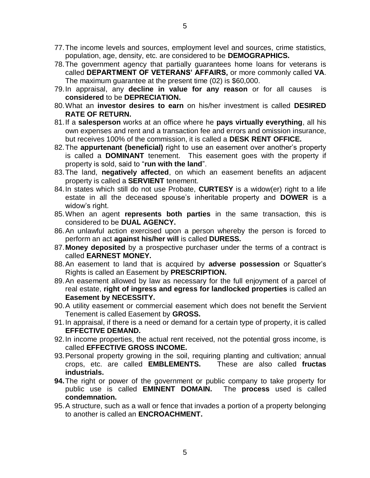- 77. The income levels and sources, employment level and sources, crime statistics, population, age, density, etc. are considered to be **DEMOGRAPHICS.**
- 78. The government agency that partially guarantees home loans for veterans is called **DEPARTMENT OF VETERANS' AFFAIRS,** or more commonly called **VA**. The maximum guarantee at the present time (02) is \$60,000.
- 79. In appraisal, any **decline in value for any reason** or for all causes is **considered** to be **DEPRECIATION.**
- 80. What an **investor desires to earn** on his/her investment is called **DESIRED RATE OF RETURN.**
- 81. If a **salesperson** works at an office where he **pays virtually everything**, all his own expenses and rent and a transaction fee and errors and omission insurance, but receives 100% of the commission, it is called a **DESK RENT OFFICE.**
- 82. The **appurtenant (beneficial)** right to use an easement over another's property is called a **DOMINANT** tenement. This easement goes with the property if property is sold, said to "**run with the land**".
- 83. The land, **negatively affected**, on which an easement benefits an adjacent property is called a **SERVIENT** tenement.
- 84. In states which still do not use Probate, **CURTESY** is a widow(er) right to a life estate in all the deceased spouse's inheritable property and **DOWER** is a widow's right.
- 85. When an agent **represents both parties** in the same transaction, this is considered to be **DUAL AGENCY.**
- 86. An unlawful action exercised upon a person whereby the person is forced to perform an act **against his/her will** is called **DURESS.**
- 87.**Money deposited** by a prospective purchaser under the terms of a contract is called **EARNEST MONEY.**
- 88. An easement to land that is acquired by **adverse possession** or Squatter's Rights is called an Easement by **PRESCRIPTION.**
- 89. An easement allowed by law as necessary for the full enjoyment of a parcel of real estate, **right of ingress and egress for landlocked properties** is called an **Easement by NECESSITY.**
- 90. A utility easement or commercial easement which does not benefit the Servient Tenement is called Easement by **GROSS.**
- 91. In appraisal, if there is a need or demand for a certain type of property, it is called **EFFECTIVE DEMAND.**
- 92. In income properties, the actual rent received, not the potential gross income, is called **EFFECTIVE GROSS INCOME.**
- 93. Personal property growing in the soil, requiring planting and cultivation; annual crops, etc. are called **EMBLEMENTS.** These are also called **fructas industrials.**
- **94.**The right or power of the government or public company to take property for public use is called **EMINENT DOMAIN.** The **process** used is called **condemnation.**
- 95. A structure, such as a wall or fence that invades a portion of a property belonging to another is called an **ENCROACHMENT.**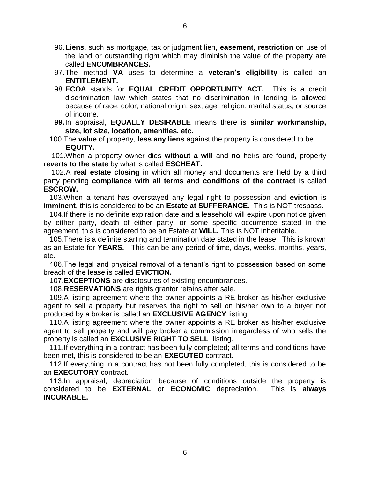- 96.**Liens**, such as mortgage, tax or judgment lien, **easement**, **restriction** on use of the land or outstanding right which may diminish the value of the property are called **ENCUMBRANCES.**
- 97. The method **VA** uses to determine a **veteran's eligibility** is called an **ENTITLEMENT.**
- 98.**ECOA** stands for **EQUAL CREDIT OPPORTUNITY ACT.** This is a credit discrimination law which states that no discrimination in lending is allowed because of race, color, national origin, sex, age, religion, marital status, or source of income.
- **99.**In appraisal, **EQUALLY DESIRABLE** means there is **similar workmanship, size, lot size, location, amenities, etc.**
- 100.The **value** of property, **less any liens** against the property is considered to be **EQUITY.**

 101.When a property owner dies **without a will** and **no** heirs are found, property **reverts to the state** by what is called **ESCHEAT.** 

102.A **real estate closing** in which all money and documents are held by a third party pending **compliance with all terms and conditions of the contract** is called **ESCROW.**

 103.When a tenant has overstayed any legal right to possession and **eviction** is **imminent**, this is considered to be an **Estate at SUFFERANCE.** This is NOT trespass.

104.If there is no definite expiration date and a leasehold will expire upon notice given by either party, death of either party, or some specific occurrence stated in the agreement, this is considered to be an Estate at **WILL.** This is NOT inheritable.

105.There is a definite starting and termination date stated in the lease. This is known as an Estate for **YEARS.** This can be any period of time, days, weeks, months, years, etc.

106.The legal and physical removal of a tenant's right to possession based on some breach of the lease is called **EVICTION.** 

107.**EXCEPTIONS** are disclosures of existing encumbrances.

108.**RESERVATIONS** are rights grantor retains after sale.

109.A listing agreement where the owner appoints a RE broker as his/her exclusive agent to sell a property but reserves the right to sell on his/her own to a buyer not produced by a broker is called an **EXCLUSIVE AGENCY** listing.

110.A listing agreement where the owner appoints a RE broker as his/her exclusive agent to sell property and will pay broker a commission irregardless of who sells the property is called an **EXCLUSIVE RIGHT TO SELL** listing.

111.If everything in a contract has been fully completed; all terms and conditions have been met, this is considered to be an **EXECUTED** contract.

112.If everything in a contract has not been fully completed, this is considered to be an **EXECUTORY** contract.

113.In appraisal, depreciation because of conditions outside the property is considered to be **EXTERNAL** or **ECONOMIC** depreciation. This is **always INCURABLE.**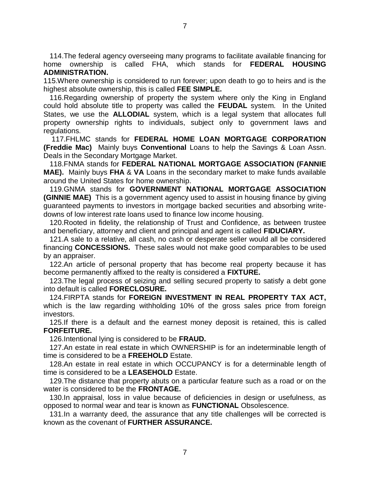114.The federal agency overseeing many programs to facilitate available financing for home ownership is called FHA, which stands for **FEDERAL HOUSING ADMINISTRATION.** 

115.Where ownership is considered to run forever; upon death to go to heirs and is the highest absolute ownership, this is called **FEE SIMPLE.** 

116.Regarding ownership of property the system where only the King in England could hold absolute title to property was called the **FEUDAL** system. In the United States, we use the **ALLODIAL** system, which is a legal system that allocates full property ownership rights to individuals, subject only to government laws and regulations.

 117.FHLMC stands for **FEDERAL HOME LOAN MORTGAGE CORPORATION (Freddie Mac)** Mainly buys **Conventional** Loans to help the Savings & Loan Assn. Deals in the Secondary Mortgage Market.

118.FNMA stands for **FEDERAL NATIONAL MORTGAGE ASSOCIATION (FANNIE MAE).** Mainly buys **FHA** & **VA** Loans in the secondary market to make funds available around the United States for home ownership.

119.GNMA stands for **GOVERNMENT NATIONAL MORTGAGE ASSOCIATION (GINNIE MAE)** This is a government agency used to assist in housing finance by giving guaranteed payments to investors in mortgage backed securities and absorbing writedowns of low interest rate loans used to finance low income housing.

120.Rooted in fidelity, the relationship of Trust and Confidence, as between trustee and beneficiary, attorney and client and principal and agent is called **FIDUCIARY.** 

121.A sale to a relative, all cash, no cash or desperate seller would all be considered financing **CONCESSIONS.** These sales would not make good comparables to be used by an appraiser.

122.An article of personal property that has become real property because it has become permanently affixed to the realty is considered a **FIXTURE.** 

123.The legal process of seizing and selling secured property to satisfy a debt gone into default is called **FORECLOSURE.** 

124.FIRPTA stands for **FOREIGN INVESTMENT IN REAL PROPERTY TAX ACT,** which is the law regarding withholding 10% of the gross sales price from foreign investors.

125.If there is a default and the earnest money deposit is retained, this is called **FORFEITURE.** 

126.Intentional lying is considered to be **FRAUD.**

127.An estate in real estate in which OWNERSHIP is for an indeterminable length of time is considered to be a **FREEHOLD** Estate.

128.An estate in real estate in which OCCUPANCY is for a determinable length of time is considered to be a **LEASEHOLD** Estate.

129.The distance that property abuts on a particular feature such as a road or on the water is considered to be the **FRONTAGE.** 

130.In appraisal, loss in value because of deficiencies in design or usefulness, as opposed to normal wear and tear is known as **FUNCTIONAL** Obsolescence.

131.In a warranty deed, the assurance that any title challenges will be corrected is known as the covenant of **FURTHER ASSURANCE.**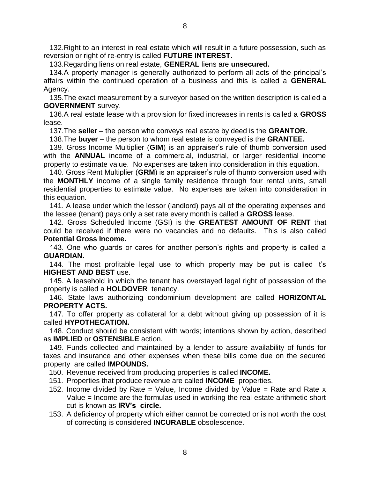132.Right to an interest in real estate which will result in a future possession, such as reversion or right of re-entry is called **FUTURE INTEREST.** 

133.Regarding liens on real estate, **GENERAL** liens are **unsecured.**

134.A property manager is generally authorized to perform all acts of the principal's affairs within the continued operation of a business and this is called a **GENERAL**  Agency.

135.The exact measurement by a surveyor based on the written description is called a **GOVERNMENT** survey.

136.A real estate lease with a provision for fixed increases in rents is called a **GROSS** lease.

137.The **seller** – the person who conveys real estate by deed is the **GRANTOR.**

138.The **buyer** – the person to whom real estate is conveyed is the **GRANTEE.**

139. Gross Income Multiplier (**GIM**) is an appraiser's rule of thumb conversion used with the **ANNUAL** income of a commercial, industrial, or larger residential income property to estimate value. No expenses are taken into consideration in this equation.

140. Gross Rent Multiplier (**GRM**) is an appraiser's rule of thumb conversion used with the **MONTHLY** income of a single family residence through four rental units, small residential properties to estimate value. No expenses are taken into consideration in this equation.

141. A lease under which the lessor (landlord) pays all of the operating expenses and the lessee (tenant) pays only a set rate every month is called a **GROSS** lease.

142. Gross Scheduled Income (GSI) is the **GREATEST AMOUNT OF RENT** that could be received if there were no vacancies and no defaults. This is also called **Potential Gross Income.**

143. One who guards or cares for another person's rights and property is called a **GUARDIAN.** 

144. The most profitable legal use to which property may be put is called it's **HIGHEST AND BEST** use.

145. A leasehold in which the tenant has overstayed legal right of possession of the property is called a **HOLDOVER** tenancy.

146. State laws authorizing condominium development are called **HORIZONTAL PROPERTY ACTS.** 

147. To offer property as collateral for a debt without giving up possession of it is called **HYPOTHECATION.** 

148. Conduct should be consistent with words; intentions shown by action, described as **IMPLIED** or **OSTENSIBLE** action.

149. Funds collected and maintained by a lender to assure availability of funds for taxes and insurance and other expenses when these bills come due on the secured property are called **IMPOUNDS.** 

150. Revenue received from producing properties is called **INCOME.**

- 151. Properties that produce revenue are called **INCOME** properties.
- 152. Income divided by Rate = Value, Income divided by Value = Rate and Rate  $x$ Value = Income are the formulas used in working the real estate arithmetic short cut is known as **IRV's circle.**
- 153. A deficiency of property which either cannot be corrected or is not worth the cost of correcting is considered **INCURABLE** obsolescence.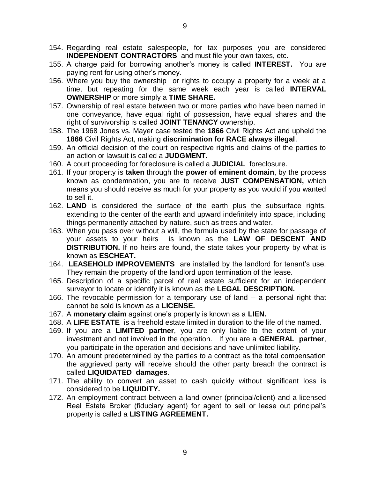- 154. Regarding real estate salespeople, for tax purposes you are considered **INDEPENDENT CONTRACTORS** and must file your own taxes, etc.
- 155. A charge paid for borrowing another's money is called **INTEREST.** You are paying rent for using other's money.
- 156. Where you buy the ownership or rights to occupy a property for a week at a time, but repeating for the same week each year is called **INTERVAL OWNERSHIP** or more simply a **TIME SHARE.**
- 157. Ownership of real estate between two or more parties who have been named in one conveyance, have equal right of possession, have equal shares and the right of survivorship is called **JOINT TENANCY** ownership.
- 158. The 1968 Jones vs. Mayer case tested the **1866** Civil Rights Act and upheld the **1866** Civil Rights Act, making **discrimination for RACE always illegal**.
- 159. An official decision of the court on respective rights and claims of the parties to an action or lawsuit is called a **JUDGMENT.**
- 160. A court proceeding for foreclosure is called a **JUDICIAL** foreclosure.
- 161. If your property is **taken** through the **power of eminent domain**, by the process known as condemnation, you are to receive **JUST COMPENSATION,** which means you should receive as much for your property as you would if you wanted to sell it.
- 162. **LAND** is considered the surface of the earth plus the subsurface rights, extending to the center of the earth and upward indefinitely into space, including things permanently attached by nature, such as trees and water.
- 163. When you pass over without a will, the formula used by the state for passage of your assets to your heirs is known as the **LAW OF DESCENT AND DISTRIBUTION.** If no heirs are found, the state takes your property by what is known as **ESCHEAT.**
- 164. **LEASEHOLD IMPROVEMENTS** are installed by the landlord for tenant's use. They remain the property of the landlord upon termination of the lease.
- 165. Description of a specific parcel of real estate sufficient for an independent surveyor to locate or identify it is known as the **LEGAL DESCRIPTION.**
- 166. The revocable permission for a temporary use of land a personal right that cannot be sold is known as a **LICENSE.**
- 167. A **monetary claim** against one's property is known as a **LIEN.**
- 168. A **LIFE ESTATE** is a freehold estate limited in duration to the life of the named.
- 169. If you are a **LIMITED partner**, you are only liable to the extent of your investment and not involved in the operation. If you are a **GENERAL partner**, you participate in the operation and decisions and have unlimited liability.
- 170. An amount predetermined by the parties to a contract as the total compensation the aggrieved party will receive should the other party breach the contract is called **LIQUIDATED damages**.
- 171. The ability to convert an asset to cash quickly without significant loss is considered to be **LIQUIDITY.**
- 172. An employment contract between a land owner (principal/client) and a licensed Real Estate Broker (fiduciary agent) for agent to sell or lease out principal's property is called a **LISTING AGREEMENT.**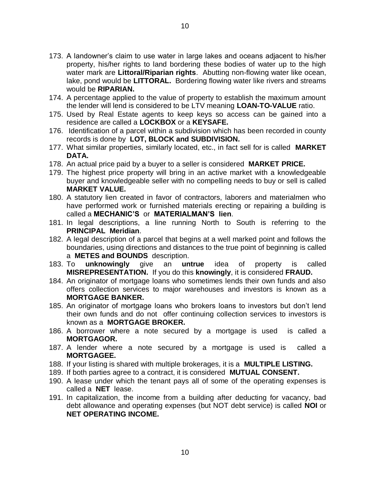- 173. A landowner's claim to use water in large lakes and oceans adjacent to his/her property, his/her rights to land bordering these bodies of water up to the high water mark are **Littoral/Riparian rights**. Abutting non-flowing water like ocean, lake, pond would be **LITTORAL.** Bordering flowing water like rivers and streams would be **RIPARIAN.**
- 174. A percentage applied to the value of property to establish the maximum amount the lender will lend is considered to be LTV meaning **LOAN-TO-VALUE** ratio.
- 175. Used by Real Estate agents to keep keys so access can be gained into a residence are called a **LOCKBOX** or a **KEYSAFE.**
- 176. Identification of a parcel within a subdivision which has been recorded in county records is done by **LOT, BLOCK and SUBDIVISION.**
- 177. What similar properties, similarly located, etc., in fact sell for is called **MARKET DATA.**
- 178. An actual price paid by a buyer to a seller is considered **MARKET PRICE.**
- 179. The highest price property will bring in an active market with a knowledgeable buyer and knowledgeable seller with no compelling needs to buy or sell is called **MARKET VALUE.**
- 180. A statutory lien created in favor of contractors, laborers and materialmen who have performed work or furnished materials erecting or repairing a building is called a **MECHANIC'S** or **MATERIALMAN'S lien**.
- 181. In legal descriptions, a line running North to South is referring to the **PRINCIPAL Meridian**.
- 182. A legal description of a parcel that begins at a well marked point and follows the boundaries, using directions and distances to the true point of beginning is called a **METES and BOUNDS** description.
- 183. To **unknowingly** give an **untrue** idea of property is called **MISREPRESENTATION.** If you do this **knowingly**, it is considered **FRAUD.**
- 184. An originator of mortgage loans who sometimes lends their own funds and also offers collection services to major warehouses and investors is known as a **MORTGAGE BANKER.**
- 185. An originator of mortgage loans who brokers loans to investors but don't lend their own funds and do not offer continuing collection services to investors is known as a **MORTGAGE BROKER.**
- 186. A borrower where a note secured by a mortgage is used is called a **MORTGAGOR.**
- 187. A lender where a note secured by a mortgage is used is called a **MORTGAGEE.**
- 188. If your listing is shared with multiple brokerages, it is a **MULTIPLE LISTING.**
- 189. If both parties agree to a contract, it is considered **MUTUAL CONSENT.**
- 190. A lease under which the tenant pays all of some of the operating expenses is called a **NET** lease.
- 191. In capitalization, the income from a building after deducting for vacancy, bad debt allowance and operating expenses (but NOT debt service) is called **NOI** or **NET OPERATING INCOME.**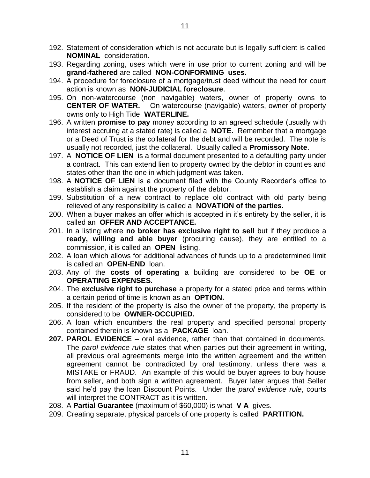- 192. Statement of consideration which is not accurate but is legally sufficient is called **NOMINAL** consideration.
- 193. Regarding zoning, uses which were in use prior to current zoning and will be **grand-fathered** are called **NON-CONFORMING uses.**
- 194. A procedure for foreclosure of a mortgage/trust deed without the need for court action is known as **NON-JUDICIAL foreclosure**.
- 195. On non-watercourse (non navigable) waters, owner of property owns to **CENTER OF WATER.** On watercourse (navigable) waters, owner of property owns only to High Tide **WATERLINE.**
- 196. A written **promise to pay** money according to an agreed schedule (usually with interest accruing at a stated rate) is called a **NOTE.** Remember that a mortgage or a Deed of Trust is the collateral for the debt and will be recorded. The note is usually not recorded, just the collateral. Usually called a **Promissory Note**.
- 197. A **NOTICE OF LIEN** is a formal document presented to a defaulting party under a contract. This can extend lien to property owned by the debtor in counties and states other than the one in which judgment was taken.
- 198. A **NOTICE OF LIEN** is a document filed with the County Recorder's office to establish a claim against the property of the debtor.
- 199. Substitution of a new contract to replace old contract with old party being relieved of any responsibility is called a **NOVATION of the parties.**
- 200. When a buyer makes an offer which is accepted in it's entirety by the seller, it is called an **OFFER AND ACCEPTANCE.**
- 201. In a listing where **no broker has exclusive right to sell** but if they produce a **ready, willing and able buyer** (procuring cause), they are entitled to a commission, it is called an **OPEN** listing.
- 202. A loan which allows for additional advances of funds up to a predetermined limit is called an **OPEN-END** loan.
- 203. Any of the **costs of operating** a building are considered to be **OE** or **OPERATING EXPENSES.**
- 204. The **exclusive right to purchase** a property for a stated price and terms within a certain period of time is known as an **OPTION.**
- 205. If the resident of the property is also the owner of the property, the property is considered to be **OWNER-OCCUPIED.**
- 206. A loan which encumbers the real property and specified personal property contained therein is known as a **PACKAGE** loan.
- **207. PAROL EVIDENCE** oral evidence, rather than that contained in documents. The *parol evidence rule* states that when parties put their agreement in writing, all previous oral agreements merge into the written agreement and the written agreement cannot be contradicted by oral testimony, unless there was a MISTAKE or FRAUD. An example of this would be buyer agrees to buy house from seller, and both sign a written agreement. Buyer later argues that Seller said he'd pay the loan Discount Points. Under the *parol evidence rule*, courts will interpret the CONTRACT as it is written.
- 208. A **Partial Guarantee** (maximum of \$60,000) is what **V A** gives.
- 209. Creating separate, physical parcels of one property is called **PARTITION.**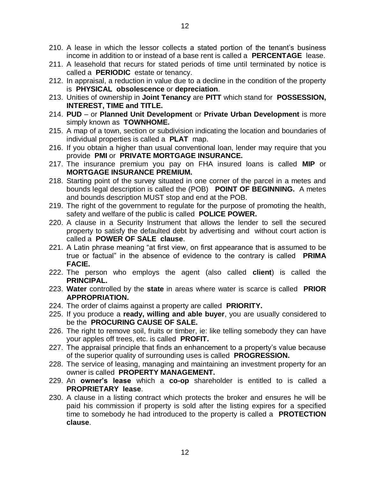- 210. A lease in which the lessor collects a stated portion of the tenant's business income in addition to or instead of a base rent is called a **PERCENTAGE** lease.
- 211. A leasehold that recurs for stated periods of time until terminated by notice is called a **PERIODIC** estate or tenancy.
- 212. In appraisal, a reduction in value due to a decline in the condition of the property is **PHYSICAL obsolescence** or **depreciation**.
- 213. Unities of ownership in **Joint Tenancy** are **PITT** which stand for **POSSESSION, INTEREST, TIME and TITLE.**
- 214. **PUD** or **Planned Unit Development** or **Private Urban Development** is more simply known as **TOWNHOME.**
- 215. A map of a town, section or subdivision indicating the location and boundaries of individual properties is called a **PLAT** map.
- 216. If you obtain a higher than usual conventional loan, lender may require that you provide **PMI** or **PRIVATE MORTGAGE INSURANCE.**
- 217. The insurance premium you pay on FHA insured loans is called **MIP** or **MORTGAGE INSURANCE PREMIUM.**
- 218. Starting point of the survey situated in one corner of the parcel in a metes and bounds legal description is called the (POB) **POINT OF BEGINNING.** A metes and bounds description MUST stop and end at the POB.
- 219. The right of the government to regulate for the purpose of promoting the health, safety and welfare of the public is called **POLICE POWER.**
- 220. A clause in a Security Instrument that allows the lender to sell the secured property to satisfy the defaulted debt by advertising and without court action is called a **POWER OF SALE clause**.
- 221. A Latin phrase meaning "at first view, on first appearance that is assumed to be true or factual" in the absence of evidence to the contrary is called **PRIMA FACIE.**
- 222. The person who employs the agent (also called **client**) is called the **PRINCIPAL.**
- 223. **Water** controlled by the **state** in areas where water is scarce is called **PRIOR APPROPRIATION.**
- 224. The order of claims against a property are called **PRIORITY.**
- 225. If you produce a **ready, willing and able buyer**, you are usually considered to be the **PROCURING CAUSE OF SALE.**
- 226. The right to remove soil, fruits or timber, ie: like telling somebody they can have your apples off trees, etc. is called **PROFIT.**
- 227. The appraisal principle that finds an enhancement to a property's value because of the superior quality of surrounding uses is called **PROGRESSION.**
- 228. The service of leasing, managing and maintaining an investment property for an owner is called **PROPERTY MANAGEMENT.**
- 229. An **owner's lease** which a **co-op** shareholder is entitled to is called a **PROPRIETARY lease**.
- 230. A clause in a listing contract which protects the broker and ensures he will be paid his commission if property is sold after the listing expires for a specified time to somebody he had introduced to the property is called a **PROTECTION clause**.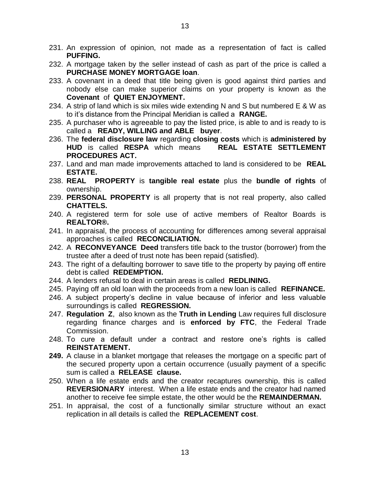- 231. An expression of opinion, not made as a representation of fact is called **PUFFING.**
- 232. A mortgage taken by the seller instead of cash as part of the price is called a **PURCHASE MONEY MORTGAGE loan**.
- 233. A covenant in a deed that title being given is good against third parties and nobody else can make superior claims on your property is known as the **Covenant** of **QUIET ENJOYMENT.**
- 234. A strip of land which is six miles wide extending N and S but numbered E & W as to it's distance from the Principal Meridian is called a **RANGE.**
- 235. A purchaser who is agreeable to pay the listed price, is able to and is ready to is called a **READY, WILLING and ABLE buyer**.
- 236. The **federal disclosure law** regarding **closing costs** which is **administered by HUD** is called **RESPA** which means **REAL ESTATE SETTLEMENT PROCEDURES ACT.**
- 237. Land and man made improvements attached to land is considered to be **REAL ESTATE.**
- 238. **REAL PROPERTY** is **tangible real estate** plus the **bundle of rights** of ownership.
- 239. **PERSONAL PROPERTY** is all property that is not real property, also called **CHATTELS.**
- 240. A registered term for sole use of active members of Realtor Boards is **REALTOR®.**
- 241. In appraisal, the process of accounting for differences among several appraisal approaches is called **RECONCILIATION.**
- 242. A **RECONVEYANCE Deed** transfers title back to the trustor (borrower) from the trustee after a deed of trust note has been repaid (satisfied).
- 243. The right of a defaulting borrower to save title to the property by paying off entire debt is called **REDEMPTION.**
- 244. A lenders refusal to deal in certain areas is called **REDLINING.**
- 245. Paying off an old loan with the proceeds from a new loan is called **REFINANCE.**
- 246. A subject property's decline in value because of inferior and less valuable surroundings is called **REGRESSION.**
- 247. **Regulation Z**, also known as the **Truth in Lending** Law requires full disclosure regarding finance charges and is **enforced by FTC**, the Federal Trade Commission.
- 248. To cure a default under a contract and restore one's rights is called **REINSTATEMENT.**
- **249.** A clause in a blanket mortgage that releases the mortgage on a specific part of the secured property upon a certain occurrence (usually payment of a specific sum is called a **RELEASE clause.**
- 250. When a life estate ends and the creator recaptures ownership, this is called **REVERSIONARY** interest. When a life estate ends and the creator had named another to receive fee simple estate, the other would be the **REMAINDERMAN.**
- 251. In appraisal, the cost of a functionally similar structure without an exact replication in all details is called the **REPLACEMENT cost**.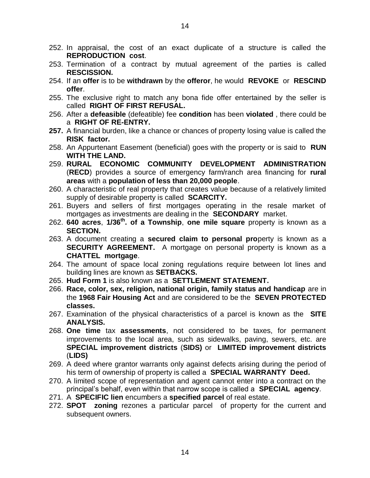- 252. In appraisal, the cost of an exact duplicate of a structure is called the **REPRODUCTION cost**.
- 253. Termination of a contract by mutual agreement of the parties is called **RESCISSION.**
- 254. If an **offer** is to be **withdrawn** by the **offeror**, he would **REVOKE** or **RESCIND offer**.
- 255. The exclusive right to match any bona fide offer entertained by the seller is called **RIGHT OF FIRST REFUSAL.**
- 256. After a **defeasible** (defeatible) fee **condition** has been **violated** , there could be a **RIGHT OF RE-ENTRY.**
- **257.** A financial burden, like a chance or chances of property losing value is called the **RISK factor.**
- 258. An Appurtenant Easement (beneficial) goes with the property or is said to **RUN WITH THE LAND.**
- 259. **RURAL ECONOMIC COMMUNITY DEVELOPMENT ADMINISTRATION**  (**RECD**) provides a source of emergency farm/ranch area financing for **rural areas** with a **population of less than 20,000 people**.
- 260. A characteristic of real property that creates value because of a relatively limited supply of desirable property is called **SCARCITY.**
- 261. Buyers and sellers of first mortgages operating in the resale market of mortgages as investments are dealing in the **SECONDARY** market.
- 262. **640 acres**, **1/36th . of a Township**, **one mile square** property is known as a **SECTION.**
- 263. A document creating a **secured claim to personal pro**perty is known as a **SECURITY AGREEMENT.** A mortgage on personal property is known as a **CHATTEL mortgage**.
- 264. The amount of space local zoning regulations require between lot lines and building lines are known as **SETBACKS.**
- 265. **Hud Form 1** is also known as a **SETTLEMENT STATEMENT.**
- 266. **Race, color, sex, religion, national origin, family status and handicap** are in the **1968 Fair Housing Act** and are considered to be the **SEVEN PROTECTED classes.**
- 267. Examination of the physical characteristics of a parcel is known as the **SITE ANALYSIS.**
- 268. **One time** tax **assessments**, not considered to be taxes, for permanent improvements to the local area, such as sidewalks, paving, sewers, etc. are **SPECIAL improvement districts** (**SIDS)** or **LIMITED improvement districts** (**LIDS)**
- 269. A deed where grantor warrants only against defects arising during the period of his term of ownership of property is called a **SPECIAL WARRANTY Deed.**
- 270. A limited scope of representation and agent cannot enter into a contract on the principal's behalf, even within that narrow scope is called a **SPECIAL agency**.
- 271. A **SPECIFIC lien** encumbers a **specified parcel** of real estate.
- 272. **SPOT zoning** rezones a particular parcel of property for the current and subsequent owners.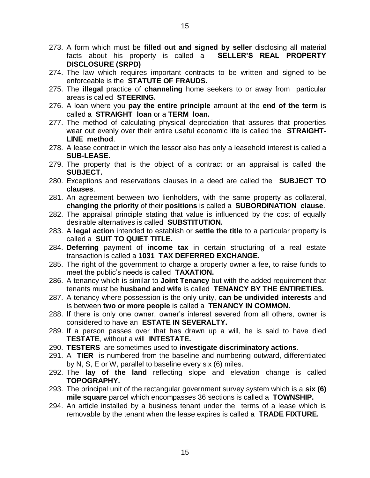- 273. A form which must be **filled out and signed by seller** disclosing all material facts about his property is called a **SELLER'S REAL PROPERTY DISCLOSURE (SRPD)**
- 274. The law which requires important contracts to be written and signed to be enforceable is the **STATUTE OF FRAUDS.**
- 275. The **illegal** practice of **channeling** home seekers to or away from particular areas is called **STEERING.**
- 276. A loan where you **pay the entire principle** amount at the **end of the term** is called a **STRAIGHT loan** or a **TERM loan.**
- 277. The method of calculating physical depreciation that assures that properties wear out evenly over their entire useful economic life is called the **STRAIGHT-LINE method**.
- 278. A lease contract in which the lessor also has only a leasehold interest is called a **SUB-LEASE.**
- 279. The property that is the object of a contract or an appraisal is called the **SUBJECT.**
- 280. Exceptions and reservations clauses in a deed are called the **SUBJECT TO clauses**.
- 281. An agreement between two lienholders, with the same property as collateral, **changing the priority** of their **positions** is called a **SUBORDINATION clause**.
- 282. The appraisal principle stating that value is influenced by the cost of equally desirable alternatives is called **SUBSTITUTION.**
- 283. A **legal action** intended to establish or **settle the title** to a particular property is called a **SUIT TO QUIET TITLE.**
- 284. **Deferring** payment of **income tax** in certain structuring of a real estate transaction is called a **1031 TAX DEFERRED EXCHANGE.**
- 285. The right of the government to charge a property owner a fee, to raise funds to meet the public's needs is called **TAXATION.**
- 286. A tenancy which is similar to **Joint Tenancy** but with the added requirement that tenants must be **husband and wife** is called **TENANCY BY THE ENTIRETIES.**
- 287. A tenancy where possession is the only unity, **can be undivided interests** and is between **two or more people** is called a **TENANCY IN COMMON.**
- 288. If there is only one owner, owner's interest severed from all others, owner is considered to have an **ESTATE IN SEVERALTY.**
- 289. If a person passes over that has drawn up a will, he is said to have died **TESTATE**, without a will **INTESTATE.**
- 290. **TESTERS** are sometimes used to **investigate discriminatory actions**.
- 291. A **TIER** is numbered from the baseline and numbering outward, differentiated by N, S, E or W, parallel to baseline every six (6) miles.
- 292. The **lay of the land** reflecting slope and elevation change is called **TOPOGRAPHY.**
- 293. The principal unit of the rectangular government survey system which is a **six (6) mile square** parcel which encompasses 36 sections is called a **TOWNSHIP.**
- 294. An article installed by a business tenant under the terms of a lease which is removable by the tenant when the lease expires is called a **TRADE FIXTURE.**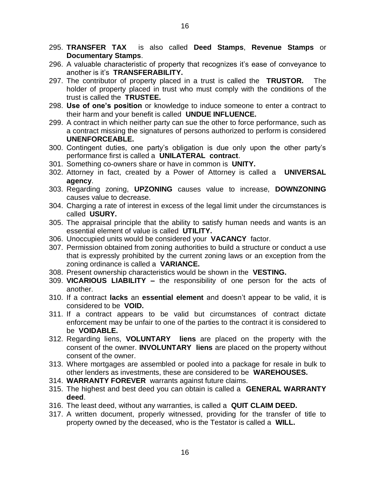- 295. **TRANSFER TAX** is also called **Deed Stamps**, **Revenue Stamps** or **Documentary Stamps**.
- 296. A valuable characteristic of property that recognizes it's ease of conveyance to another is it's **TRANSFERABILITY.**
- 297. The contributor of property placed in a trust is called the **TRUSTOR.** The holder of property placed in trust who must comply with the conditions of the trust is called the **TRUSTEE.**
- 298. **Use of one's position** or knowledge to induce someone to enter a contract to their harm and your benefit is called **UNDUE INFLUENCE.**
- 299. A contract in which neither party can sue the other to force performance, such as a contract missing the signatures of persons authorized to perform is considered **UNENFORCEABLE.**
- 300. Contingent duties, one party's obligation is due only upon the other party's performance first is called a **UNILATERAL contract**.
- 301. Something co-owners share or have in common is **UNITY.**
- 302. Attorney in fact, created by a Power of Attorney is called a **UNIVERSAL agency**.
- 303. Regarding zoning, **UPZONING** causes value to increase, **DOWNZONING** causes value to decrease.
- 304. Charging a rate of interest in excess of the legal limit under the circumstances is called **USURY.**
- 305. The appraisal principle that the ability to satisfy human needs and wants is an essential element of value is called **UTILITY.**
- 306. Unoccupied units would be considered your **VACANCY** factor.
- 307. Permission obtained from zoning authorities to build a structure or conduct a use that is expressly prohibited by the current zoning laws or an exception from the zoning ordinance is called a **VARIANCE.**
- 308. Present ownership characteristics would be shown in the **VESTING.**
- 309. **VICARIOUS LIABILITY –** the responsibility of one person for the acts of another.
- 310. If a contract **lacks** an **essential element** and doesn't appear to be valid, it is considered to be **VOID.**
- 311. If a contract appears to be valid but circumstances of contract dictate enforcement may be unfair to one of the parties to the contract it is considered to be **VOIDABLE.**
- 312. Regarding liens, **VOLUNTARY liens** are placed on the property with the consent of the owner. **INVOLUNTARY liens** are placed on the property without consent of the owner.
- 313. Where mortgages are assembled or pooled into a package for resale in bulk to other lenders as investments, these are considered to be **WAREHOUSES.**
- 314. **WARRANTY FOREVER** warrants against future claims.
- 315. The highest and best deed you can obtain is called a **GENERAL WARRANTY deed**.
- 316. The least deed, without any warranties, is called a **QUIT CLAIM DEED.**
- 317. A written document, properly witnessed, providing for the transfer of title to property owned by the deceased, who is the Testator is called a **WILL.**